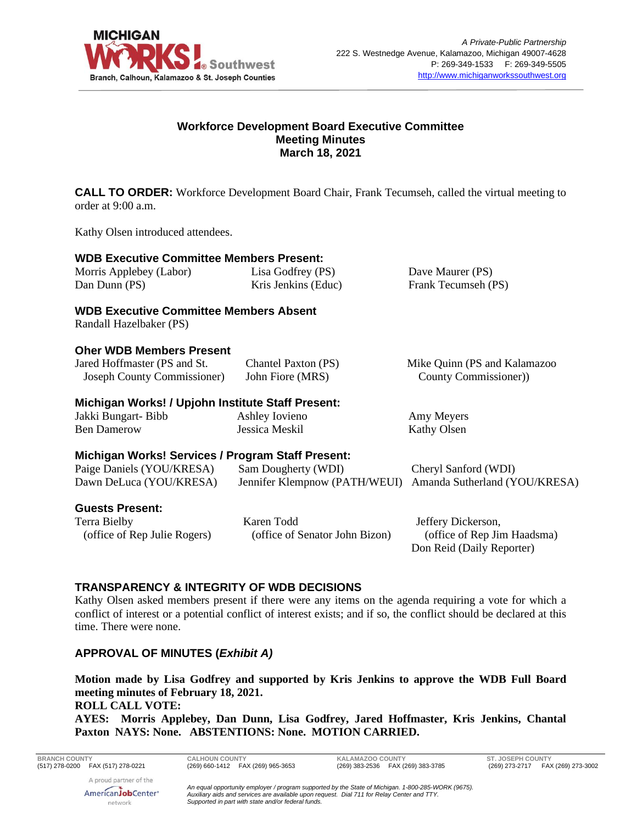

#### **Workforce Development Board Executive Committee Meeting Minutes March 18, 2021**

**CALL TO ORDER:** Workforce Development Board Chair, Frank Tecumseh, called the virtual meeting to order at 9:00 a.m.

Kathy Olsen introduced attendees.

#### **WDB Executive Committee Members Present:**

Morris Applebey (Labor) Dan Dunn (PS)

Lisa Godfrey (PS) Kris Jenkins (Educ) Dave Maurer (PS) Frank Tecumseh (PS)

#### **WDB Executive Committee Members Absent**

Randall Hazelbaker (PS)

#### **Oher WDB Members Present**

| Jared Hoffmaster (PS and St. | Chantel Paxton (PS) | Mike Quinn (PS and Kalamazoo |
|------------------------------|---------------------|------------------------------|
| Joseph County Commissioner)  | John Fiore (MRS)    | County Commissioner)         |

#### **Michigan Works! / Upjohn Institute Staff Present:**

Jakki Bungart- Bibb Ben Damerow

Ashley Iovieno Jessica Meskil

Amy Meyers Kathy Olsen

# **Michigan Works! Services / Program Staff Present:**

| Paige Daniels (YOU/KRESA) | Sam Dougherty (WDI) | Cheryl Sanford (WDI)                                        |
|---------------------------|---------------------|-------------------------------------------------------------|
| Dawn DeLuca (YOU/KRESA)   |                     | Jennifer Klempnow (PATH/WEUI) Amanda Sutherland (YOU/KRESA) |

#### **Guests Present:**

Terra Bielby (office of Rep Julie Rogers) Karen Todd (office of Senator John Bizon)

Jeffery Dickerson, (office of Rep Jim Haadsma) Don Reid (Daily Reporter)

# **TRANSPARENCY & INTEGRITY OF WDB DECISIONS**

Kathy Olsen asked members present if there were any items on the agenda requiring a vote for which a conflict of interest or a potential conflict of interest exists; and if so, the conflict should be declared at this time. There were none.

# **APPROVAL OF MINUTES (***Exhibit A)*

**Motion made by Lisa Godfrey and supported by Kris Jenkins to approve the WDB Full Board meeting minutes of February 18, 2021.**

#### **ROLL CALL VOTE:**

**AYES: Morris Applebey, Dan Dunn, Lisa Godfrey, Jared Hoffmaster, Kris Jenkins, Chantal Paxton NAYS: None. ABSTENTIONS: None. MOTION CARRIED.**

**BRANCH COUNTY CALHOUN COUNTY KALAMAZOO COUNTY ST. JOSEPH COUNTY**

(269) 273-2717 FAX (269) 273-3002

*An equal opportunity employer / program supported by the State of Michigan. 1-800-285-WORK (9675). Auxiliary aids and services are available upon request. Dial 711 for Relay Center and TTY. Supported in part with state and/or federal funds.*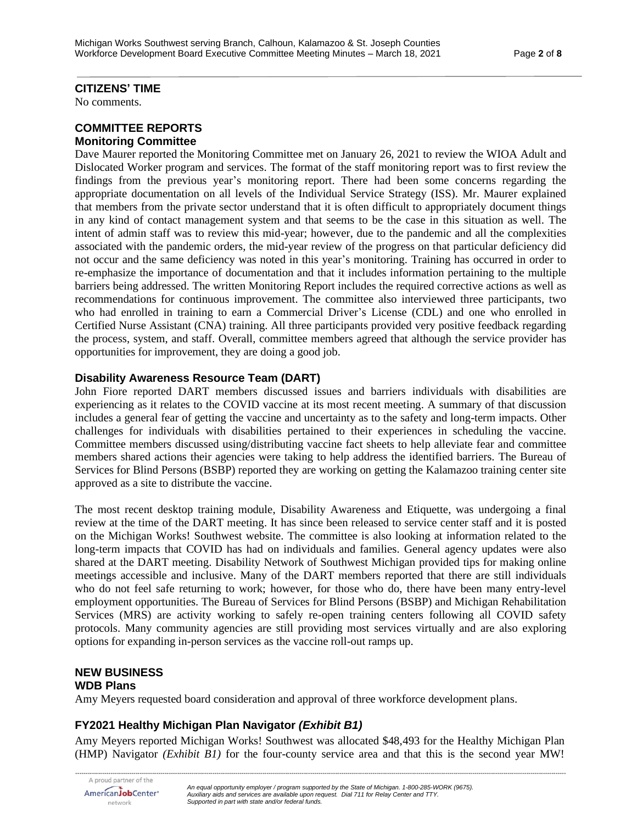#### **CITIZENS' TIME**

No comments.

#### **COMMITTEE REPORTS Monitoring Committee**

Dave Maurer reported the Monitoring Committee met on January 26, 2021 to review the WIOA Adult and Dislocated Worker program and services. The format of the staff monitoring report was to first review the findings from the previous year's monitoring report. There had been some concerns regarding the appropriate documentation on all levels of the Individual Service Strategy (ISS). Mr. Maurer explained that members from the private sector understand that it is often difficult to appropriately document things in any kind of contact management system and that seems to be the case in this situation as well. The intent of admin staff was to review this mid-year; however, due to the pandemic and all the complexities associated with the pandemic orders, the mid-year review of the progress on that particular deficiency did not occur and the same deficiency was noted in this year's monitoring. Training has occurred in order to re-emphasize the importance of documentation and that it includes information pertaining to the multiple barriers being addressed. The written Monitoring Report includes the required corrective actions as well as recommendations for continuous improvement. The committee also interviewed three participants, two who had enrolled in training to earn a Commercial Driver's License (CDL) and one who enrolled in Certified Nurse Assistant (CNA) training. All three participants provided very positive feedback regarding the process, system, and staff. Overall, committee members agreed that although the service provider has opportunities for improvement, they are doing a good job.

#### **Disability Awareness Resource Team (DART)**

John Fiore reported DART members discussed issues and barriers individuals with disabilities are experiencing as it relates to the COVID vaccine at its most recent meeting. A summary of that discussion includes a general fear of getting the vaccine and uncertainty as to the safety and long-term impacts. Other challenges for individuals with disabilities pertained to their experiences in scheduling the vaccine. Committee members discussed using/distributing vaccine fact sheets to help alleviate fear and committee members shared actions their agencies were taking to help address the identified barriers. The Bureau of Services for Blind Persons (BSBP) reported they are working on getting the Kalamazoo training center site approved as a site to distribute the vaccine.

The most recent desktop training module, Disability Awareness and Etiquette, was undergoing a final review at the time of the DART meeting. It has since been released to service center staff and it is posted on the Michigan Works! Southwest website. The committee is also looking at information related to the long-term impacts that COVID has had on individuals and families. General agency updates were also shared at the DART meeting. Disability Network of Southwest Michigan provided tips for making online meetings accessible and inclusive. Many of the DART members reported that there are still individuals who do not feel safe returning to work; however, for those who do, there have been many entry-level employment opportunities. The Bureau of Services for Blind Persons (BSBP) and Michigan Rehabilitation Services (MRS) are activity working to safely re-open training centers following all COVID safety protocols. Many community agencies are still providing most services virtually and are also exploring options for expanding in-person services as the vaccine roll-out ramps up.

#### **NEW BUSINESS WDB Plans**

Amy Meyers requested board consideration and approval of three workforce development plans.

# **FY2021 Healthy Michigan Plan Navigator** *(Exhibit B1)*

Amy Meyers reported Michigan Works! Southwest was allocated \$48,493 for the Healthy Michigan Plan (HMP) Navigator *(Exhibit B1)* for the four-county service area and that this is the second year MW!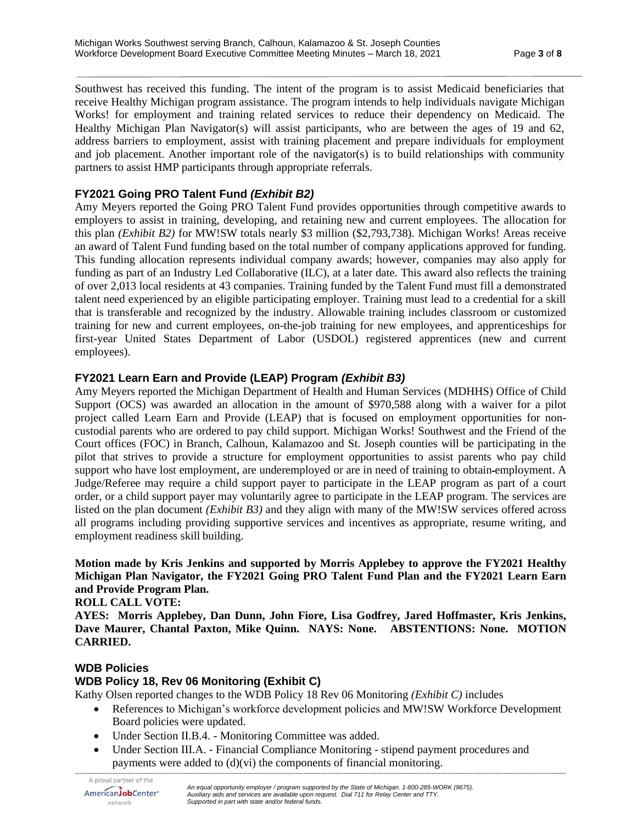Southwest has received this funding. The intent of the program is to assist Medicaid beneficiaries that receive Healthy Michigan program assistance. The program intends to help individuals navigate Michigan Works! for employment and training related services to reduce their dependency on Medicaid. The Healthy Michigan Plan Navigator(s) will assist participants, who are between the ages of 19 and 62, address barriers to employment, assist with training placement and prepare individuals for employment and job placement. Another important role of the navigator(s) is to build relationships with community partners to assist HMP participants through appropriate referrals.

# **FY2021 Going PRO Talent Fund** *(Exhibit B2)*

Amy Meyers reported the Going PRO Talent Fund provides opportunities through competitive awards to employers to assist in training, developing, and retaining new and current employees. The allocation for this plan *(Exhibit B2)* for MW!SW totals nearly \$3 million (\$2,793,738). Michigan Works! Areas receive an award of Talent Fund funding based on the total number of company applications approved for funding. This funding allocation represents individual company awards; however, companies may also apply for funding as part of an Industry Led Collaborative (ILC), at a later date. This award also reflects the training of over 2,013 local residents at 43 companies. Training funded by the Talent Fund must fill a demonstrated talent need experienced by an eligible participating employer. Training must lead to a credential for a skill that is transferable and recognized by the industry. Allowable training includes classroom or customized training for new and current employees, on-the-job training for new employees, and apprenticeships for first-year United States Department of Labor (USDOL) registered apprentices (new and current employees).

# **FY2021 Learn Earn and Provide (LEAP) Program** *(Exhibit B3)*

Amy Meyers reported the Michigan Department of Health and Human Services (MDHHS) Office of Child Support (OCS) was awarded an allocation in the amount of \$970,588 along with a waiver for a pilot project called Learn Earn and Provide (LEAP) that is focused on employment opportunities for noncustodial parents who are ordered to pay child support. Michigan Works! Southwest and the Friend of the Court offices (FOC) in Branch, Calhoun, Kalamazoo and St. Joseph counties will be participating in the pilot that strives to provide a structure for employment opportunities to assist parents who pay child support who have lost employment, are underemployed or are in need of training to obtain-employment. A Judge/Referee may require a child support payer to participate in the LEAP program as part of a court order, or a child support payer may voluntarily agree to participate in the LEAP program. The services are listed on the plan document *(Exhibit B3)* and they align with many of the MW!SW services offered across all programs including providing supportive services and incentives as appropriate, resume writing, and employment readiness skill building.

#### **Motion made by Kris Jenkins and supported by Morris Applebey to approve the FY2021 Healthy Michigan Plan Navigator, the FY2021 Going PRO Talent Fund Plan and the FY2021 Learn Earn and Provide Program Plan.**

**ROLL CALL VOTE:**

**AYES: Morris Applebey, Dan Dunn, John Fiore, Lisa Godfrey, Jared Hoffmaster, Kris Jenkins, Dave Maurer, Chantal Paxton, Mike Quinn. NAYS: None. ABSTENTIONS: None. MOTION CARRIED.**

# **WDB Policies**

# **WDB Policy 18, Rev 06 Monitoring (Exhibit C)**

Kathy Olsen reported changes to the WDB Policy 18 Rev 06 Monitoring *(Exhibit C)* includes

- References to Michigan's workforce development policies and MW!SW Workforce Development Board policies were updated.
- Under Section II.B.4. Monitoring Committee was added.
- Under Section III.A. Financial Compliance Monitoring stipend payment procedures and payments were added to (d)(vi) the components of financial monitoring.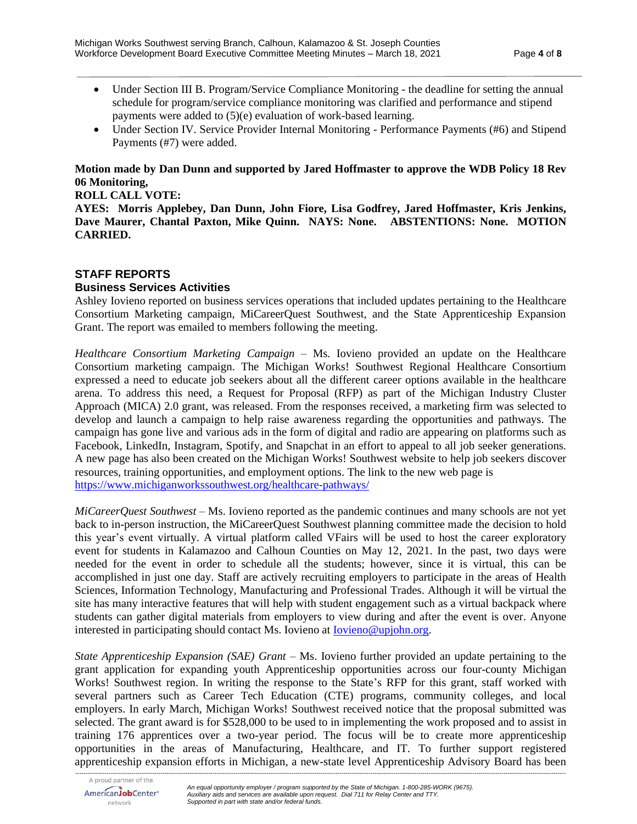- Under Section III B. Program/Service Compliance Monitoring the deadline for setting the annual schedule for program/service compliance monitoring was clarified and performance and stipend payments were added to (5)(e) evaluation of work-based learning.
- Under Section IV. Service Provider Internal Monitoring Performance Payments (#6) and Stipend Payments (#7) were added.

# **Motion made by Dan Dunn and supported by Jared Hoffmaster to approve the WDB Policy 18 Rev 06 Monitoring,**

#### **ROLL CALL VOTE:**

**AYES: Morris Applebey, Dan Dunn, John Fiore, Lisa Godfrey, Jared Hoffmaster, Kris Jenkins, Dave Maurer, Chantal Paxton, Mike Quinn. NAYS: None. ABSTENTIONS: None. MOTION CARRIED.**

# **STAFF REPORTS**

#### **Business Services Activities**

Ashley Iovieno reported on business services operations that included updates pertaining to the Healthcare Consortium Marketing campaign, MiCareerQuest Southwest, and the State Apprenticeship Expansion Grant. The report was emailed to members following the meeting.

*Healthcare Consortium Marketing Campaign* – Ms. Iovieno provided an update on the Healthcare Consortium marketing campaign. The Michigan Works! Southwest Regional Healthcare Consortium expressed a need to educate job seekers about all the different career options available in the healthcare arena. To address this need, a Request for Proposal (RFP) as part of the Michigan Industry Cluster Approach (MICA) 2.0 grant, was released. From the responses received, a marketing firm was selected to develop and launch a campaign to help raise awareness regarding the opportunities and pathways. The campaign has gone live and various ads in the form of digital and radio are appearing on platforms such as Facebook, LinkedIn, Instagram, Spotify, and Snapchat in an effort to appeal to all job seeker generations. A new page has also been created on the Michigan Works! Southwest website to help job seekers discover resources, training opportunities, and employment options. The link to the new web page is <https://www.michiganworkssouthwest.org/healthcare-pathways/>

*MiCareerQuest Southwest* – Ms. Iovieno reported as the pandemic continues and many schools are not yet back to in-person instruction, the MiCareerQuest Southwest planning committee made the decision to hold this year's event virtually. A virtual platform called VFairs will be used to host the career exploratory event for students in Kalamazoo and Calhoun Counties on May 12, 2021. In the past, two days were needed for the event in order to schedule all the students; however, since it is virtual, this can be accomplished in just one day. Staff are actively recruiting employers to participate in the areas of Health Sciences, Information Technology, Manufacturing and Professional Trades. Although it will be virtual the site has many interactive features that will help with student engagement such as a virtual backpack where students can gather digital materials from employers to view during and after the event is over. Anyone interested in participating should contact Ms. Iovieno at **Iovieno@upjohn.org**.

*State Apprenticeship Expansion (SAE) Grant* – Ms. Iovieno further provided an update pertaining to the grant application for expanding youth Apprenticeship opportunities across our four-county Michigan Works! Southwest region. In writing the response to the State's RFP for this grant, staff worked with several partners such as Career Tech Education (CTE) programs, community colleges, and local employers. In early March, Michigan Works! Southwest received notice that the proposal submitted was selected. The grant award is for \$528,000 to be used to in implementing the work proposed and to assist in training 176 apprentices over a two-year period. The focus will be to create more apprenticeship opportunities in the areas of Manufacturing, Healthcare, and IT. To further support registered apprenticeship expansion efforts in Michigan, a new-state level Apprenticeship Advisory Board has been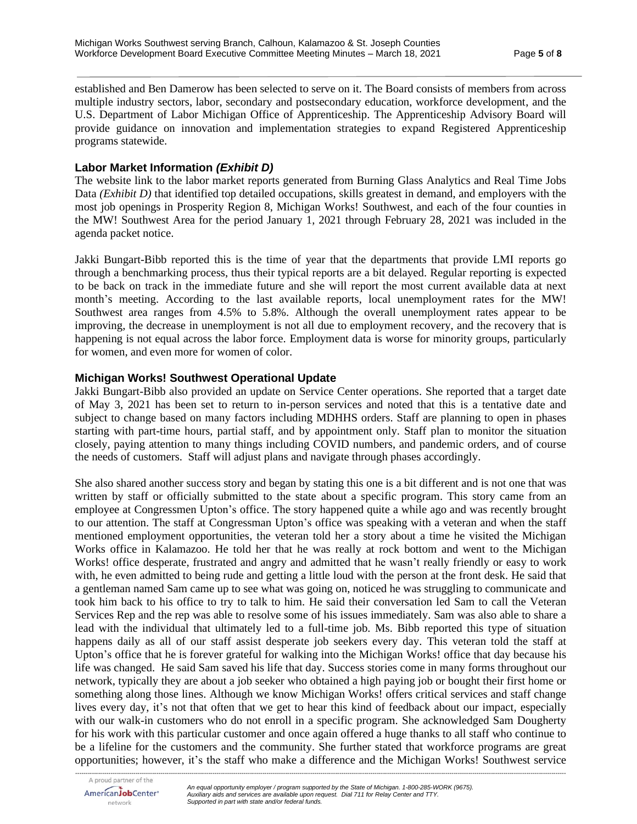established and Ben Damerow has been selected to serve on it. The Board consists of members from across multiple industry sectors, labor, secondary and postsecondary education, workforce development, and the U.S. Department of Labor Michigan Office of Apprenticeship. The Apprenticeship Advisory Board will provide guidance on innovation and implementation strategies to expand Registered Apprenticeship programs statewide.

#### **Labor Market Information** *(Exhibit D)*

The website link to the labor market reports generated from Burning Glass Analytics and Real Time Jobs Data *(Exhibit D)* that identified top detailed occupations, skills greatest in demand, and employers with the most job openings in Prosperity Region 8, Michigan Works! Southwest, and each of the four counties in the MW! Southwest Area for the period January 1, 2021 through February 28, 2021 was included in the agenda packet notice.

Jakki Bungart-Bibb reported this is the time of year that the departments that provide LMI reports go through a benchmarking process, thus their typical reports are a bit delayed. Regular reporting is expected to be back on track in the immediate future and she will report the most current available data at next month's meeting. According to the last available reports, local unemployment rates for the MW! Southwest area ranges from 4.5% to 5.8%. Although the overall unemployment rates appear to be improving, the decrease in unemployment is not all due to employment recovery, and the recovery that is happening is not equal across the labor force. Employment data is worse for minority groups, particularly for women, and even more for women of color.

#### **Michigan Works! Southwest Operational Update**

Jakki Bungart-Bibb also provided an update on Service Center operations. She reported that a target date of May 3, 2021 has been set to return to in-person services and noted that this is a tentative date and subject to change based on many factors including MDHHS orders. Staff are planning to open in phases starting with part-time hours, partial staff, and by appointment only. Staff plan to monitor the situation closely, paying attention to many things including COVID numbers, and pandemic orders, and of course the needs of customers. Staff will adjust plans and navigate through phases accordingly.

She also shared another success story and began by stating this one is a bit different and is not one that was written by staff or officially submitted to the state about a specific program. This story came from an employee at Congressmen Upton's office. The story happened quite a while ago and was recently brought to our attention. The staff at Congressman Upton's office was speaking with a veteran and when the staff mentioned employment opportunities, the veteran told her a story about a time he visited the Michigan Works office in Kalamazoo. He told her that he was really at rock bottom and went to the Michigan Works! office desperate, frustrated and angry and admitted that he wasn't really friendly or easy to work with, he even admitted to being rude and getting a little loud with the person at the front desk. He said that a gentleman named Sam came up to see what was going on, noticed he was struggling to communicate and took him back to his office to try to talk to him. He said their conversation led Sam to call the Veteran Services Rep and the rep was able to resolve some of his issues immediately. Sam was also able to share a lead with the individual that ultimately led to a full-time job. Ms. Bibb reported this type of situation happens daily as all of our staff assist desperate job seekers every day. This veteran told the staff at Upton's office that he is forever grateful for walking into the Michigan Works! office that day because his life was changed. He said Sam saved his life that day. Success stories come in many forms throughout our network, typically they are about a job seeker who obtained a high paying job or bought their first home or something along those lines. Although we know Michigan Works! offers critical services and staff change lives every day, it's not that often that we get to hear this kind of feedback about our impact, especially with our walk-in customers who do not enroll in a specific program. She acknowledged Sam Dougherty for his work with this particular customer and once again offered a huge thanks to all staff who continue to be a lifeline for the customers and the community. She further stated that workforce programs are great opportunities; however, it's the staff who make a difference and the Michigan Works! Southwest service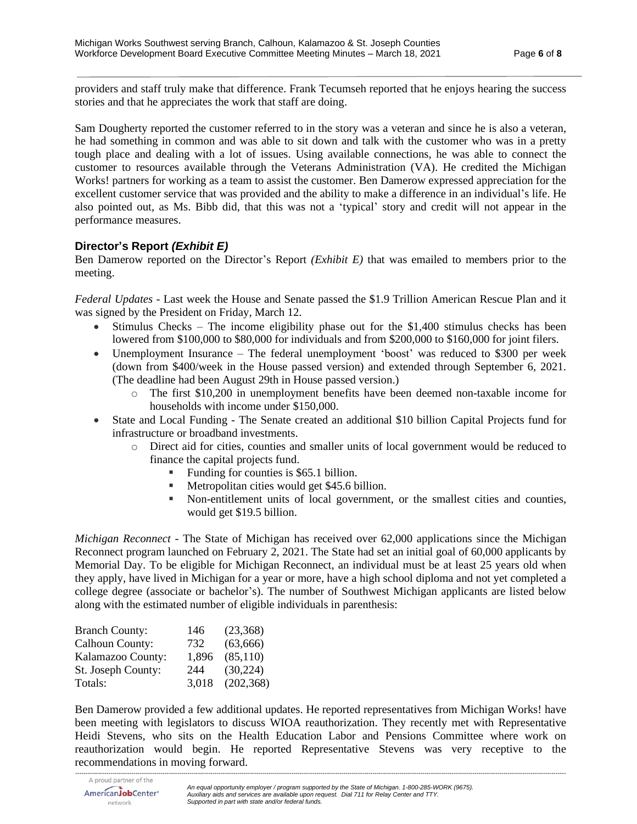providers and staff truly make that difference. Frank Tecumseh reported that he enjoys hearing the success stories and that he appreciates the work that staff are doing.

Sam Dougherty reported the customer referred to in the story was a veteran and since he is also a veteran, he had something in common and was able to sit down and talk with the customer who was in a pretty tough place and dealing with a lot of issues. Using available connections, he was able to connect the customer to resources available through the Veterans Administration (VA). He credited the Michigan Works! partners for working as a team to assist the customer. Ben Damerow expressed appreciation for the excellent customer service that was provided and the ability to make a difference in an individual's life. He also pointed out, as Ms. Bibb did, that this was not a 'typical' story and credit will not appear in the performance measures.

# **Director's Report** *(Exhibit E)*

Ben Damerow reported on the Director's Report *(Exhibit E)* that was emailed to members prior to the meeting.

*Federal Updates* - Last week the House and Senate passed the \$1.9 Trillion American Rescue Plan and it was signed by the President on Friday, March 12.

- Stimulus Checks The income eligibility phase out for the \$1,400 stimulus checks has been lowered from \$100,000 to \$80,000 for individuals and from \$200,000 to \$160,000 for joint filers.
- Unemployment Insurance The federal unemployment 'boost' was reduced to \$300 per week (down from \$400/week in the House passed version) and extended through September 6, 2021. (The deadline had been August 29th in House passed version.)
	- o The first \$10,200 in unemployment benefits have been deemed non-taxable income for households with income under \$150,000.
- State and Local Funding The Senate created an additional \$10 billion Capital Projects fund for infrastructure or broadband investments.
	- o Direct aid for cities, counties and smaller units of local government would be reduced to finance the capital projects fund.
		- Funding for counties is \$65.1 billion.
		- Metropolitan cities would get \$45.6 billion.
		- Non-entitlement units of local government, or the smallest cities and counties, would get \$19.5 billion.

*Michigan Reconnect* - The State of Michigan has received over 62,000 applications since the Michigan Reconnect program launched on February 2, 2021. The State had set an initial goal of 60,000 applicants by Memorial Day. To be eligible for Michigan Reconnect, an individual must be at least 25 years old when they apply, have lived in Michigan for a year or more, have a high school diploma and not yet completed a college degree (associate or bachelor's). The number of Southwest Michigan applicants are listed below along with the estimated number of eligible individuals in parenthesis:

| <b>Branch County:</b>  | 146   | (23,368)   |
|------------------------|-------|------------|
| <b>Calhoun County:</b> | 732   | (63,666)   |
| Kalamazoo County:      | 1,896 | (85,110)   |
| St. Joseph County:     | 244   | (30, 224)  |
| Totals:                | 3.018 | (202, 368) |

Ben Damerow provided a few additional updates. He reported representatives from Michigan Works! have been meeting with legislators to discuss WIOA reauthorization. They recently met with Representative Heidi Stevens, who sits on the Health Education Labor and Pensions Committee where work on reauthorization would begin. He reported Representative Stevens was very receptive to the recommendations in moving forward.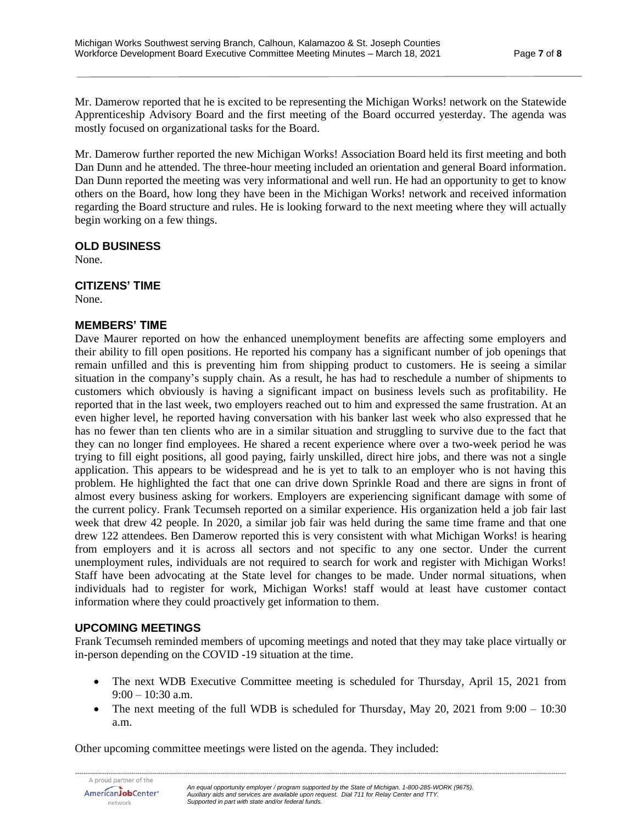Mr. Damerow reported that he is excited to be representing the Michigan Works! network on the Statewide Apprenticeship Advisory Board and the first meeting of the Board occurred yesterday. The agenda was mostly focused on organizational tasks for the Board.

Mr. Damerow further reported the new Michigan Works! Association Board held its first meeting and both Dan Dunn and he attended. The three-hour meeting included an orientation and general Board information. Dan Dunn reported the meeting was very informational and well run. He had an opportunity to get to know others on the Board, how long they have been in the Michigan Works! network and received information regarding the Board structure and rules. He is looking forward to the next meeting where they will actually begin working on a few things.

#### **OLD BUSINESS**

None.

#### **CITIZENS' TIME**

None.

# **MEMBERS' TIME**

Dave Maurer reported on how the enhanced unemployment benefits are affecting some employers and their ability to fill open positions. He reported his company has a significant number of job openings that remain unfilled and this is preventing him from shipping product to customers. He is seeing a similar situation in the company's supply chain. As a result, he has had to reschedule a number of shipments to customers which obviously is having a significant impact on business levels such as profitability. He reported that in the last week, two employers reached out to him and expressed the same frustration. At an even higher level, he reported having conversation with his banker last week who also expressed that he has no fewer than ten clients who are in a similar situation and struggling to survive due to the fact that they can no longer find employees. He shared a recent experience where over a two-week period he was trying to fill eight positions, all good paying, fairly unskilled, direct hire jobs, and there was not a single application. This appears to be widespread and he is yet to talk to an employer who is not having this problem. He highlighted the fact that one can drive down Sprinkle Road and there are signs in front of almost every business asking for workers. Employers are experiencing significant damage with some of the current policy. Frank Tecumseh reported on a similar experience. His organization held a job fair last week that drew 42 people. In 2020, a similar job fair was held during the same time frame and that one drew 122 attendees. Ben Damerow reported this is very consistent with what Michigan Works! is hearing from employers and it is across all sectors and not specific to any one sector. Under the current unemployment rules, individuals are not required to search for work and register with Michigan Works! Staff have been advocating at the State level for changes to be made. Under normal situations, when individuals had to register for work, Michigan Works! staff would at least have customer contact information where they could proactively get information to them.

# **UPCOMING MEETINGS**

Frank Tecumseh reminded members of upcoming meetings and noted that they may take place virtually or in-person depending on the COVID -19 situation at the time.

- The next WDB Executive Committee meeting is scheduled for Thursday, April 15, 2021 from  $9:00 - 10:30$  a.m.
- The next meeting of the full WDB is scheduled for Thursday, May 20, 2021 from  $9:00 10:30$ a.m.

Other upcoming committee meetings were listed on the agenda. They included:

AmericanJobCenter<sup>®</sup> network